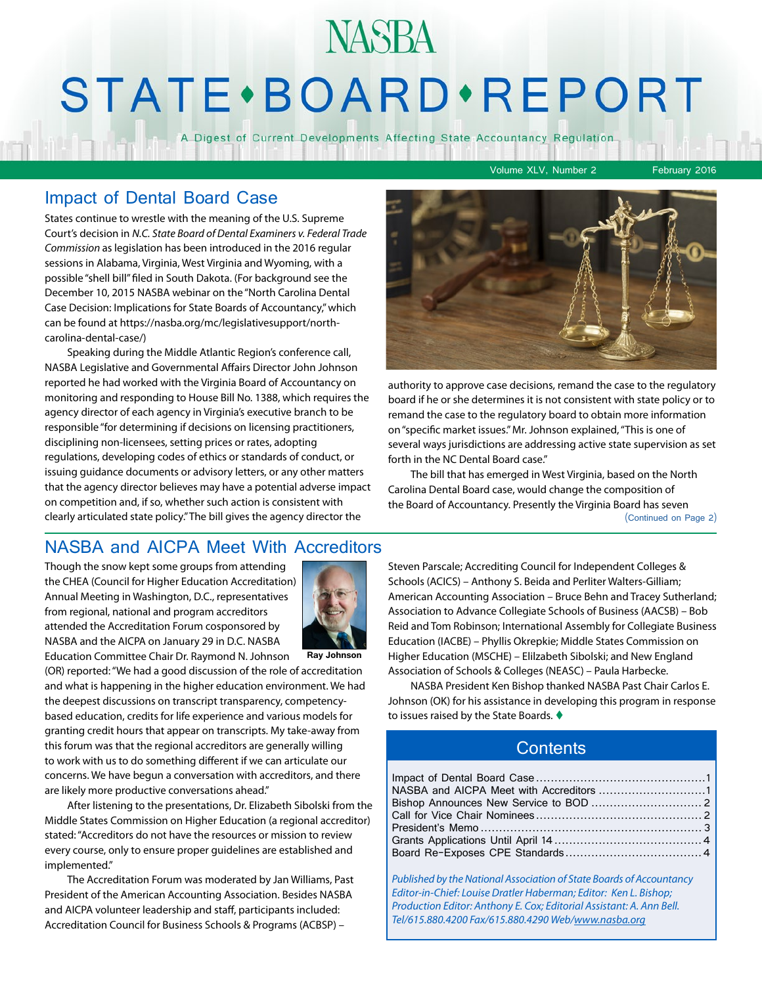# **NASBA STATE** · BOARD · REPORT

A Digest of Current Developments Affecting State Accountancy Regulation

Volume XLV, Number 2 February 2016

#### Impact of Dental Board Case

States continue to wrestle with the meaning of the U.S. Supreme Court's decision in *N.C. State Board of Dental Examiners v. Federal Trade Commission* as legislation has been introduced in the 2016 regular sessions in Alabama, Virginia, West Virginia and Wyoming, with a possible "shell bill" filed in South Dakota. (For background see the December 10, 2015 NASBA webinar on the "North Carolina Dental Case Decision: Implications for State Boards of Accountancy," which can be found at https://nasba.org/mc/legislativesupport/northcarolina-dental-case/)

Speaking during the Middle Atlantic Region's conference call, NASBA Legislative and Governmental Affairs Director John Johnson reported he had worked with the Virginia Board of Accountancy on monitoring and responding to House Bill No. 1388, which requires the agency director of each agency in Virginia's executive branch to be responsible "for determining if decisions on licensing practitioners, disciplining non-licensees, setting prices or rates, adopting regulations, developing codes of ethics or standards of conduct, or issuing guidance documents or advisory letters, or any other matters that the agency director believes may have a potential adverse impact on competition and, if so, whether such action is consistent with clearly articulated state policy." The bill gives the agency director the



authority to approve case decisions, remand the case to the regulatory board if he or she determines it is not consistent with state policy or to remand the case to the regulatory board to obtain more information on "specific market issues." Mr. Johnson explained, "This is one of several ways jurisdictions are addressing active state supervision as set forth in the NC Dental Board case."

The bill that has emerged in West Virginia, based on the North Carolina Dental Board case, would change the composition of the Board of Accountancy. Presently the Virginia Board has seven

#### (Continued on Page 2)

### NASBA and AICPA Meet With Accreditors

Though the snow kept some groups from attending the CHEA (Council for Higher Education Accreditation) Annual Meeting in Washington, D.C., representatives from regional, national and program accreditors attended the Accreditation Forum cosponsored by NASBA and the AICPA on January 29 in D.C. NASBA



Education Committee Chair Dr. Raymond N. Johnson **Ray Johnson**

(OR) reported: "We had a good discussion of the role of accreditation and what is happening in the higher education environment. We had the deepest discussions on transcript transparency, competencybased education, credits for life experience and various models for granting credit hours that appear on transcripts. My take-away from this forum was that the regional accreditors are generally willing to work with us to do something different if we can articulate our concerns. We have begun a conversation with accreditors, and there are likely more productive conversations ahead."

After listening to the presentations, Dr. Elizabeth Sibolski from the Middle States Commission on Higher Education (a regional accreditor) stated: "Accreditors do not have the resources or mission to review every course, only to ensure proper guidelines are established and implemented."

The Accreditation Forum was moderated by Jan Williams, Past President of the American Accounting Association. Besides NASBA and AICPA volunteer leadership and staff, participants included: Accreditation Council for Business Schools & Programs (ACBSP) –

Steven Parscale; Accrediting Council for Independent Colleges & Schools (ACICS) – Anthony S. Beida and Perliter Walters-Gilliam; American Accounting Association – Bruce Behn and Tracey Sutherland; Association to Advance Collegiate Schools of Business (AACSB) – Bob Reid and Tom Robinson; International Assembly for Collegiate Business Education (IACBE) – Phyllis Okrepkie; Middle States Commission on Higher Education (MSCHE) – Elilzabeth Sibolski; and New England Association of Schools & Colleges (NEASC) – Paula Harbecke.

NASBA President Ken Bishop thanked NASBA Past Chair Carlos E. Johnson (OK) for his assistance in developing this program in response to issues raised by the State Boards.  $\blacklozenge$ 

#### **Contents**

*Published by the National Association of State Boards of Accountancy Editor-in-Chief: Louise Dratler Haberman; Editor: Ken L. Bishop; Production Editor: Anthony E. Cox; Editorial Assistant: A. Ann Bell. Tel/615.880.4200 Fax/615.880.4290 Web/[www.nasba.org](http://www.nasba.org)*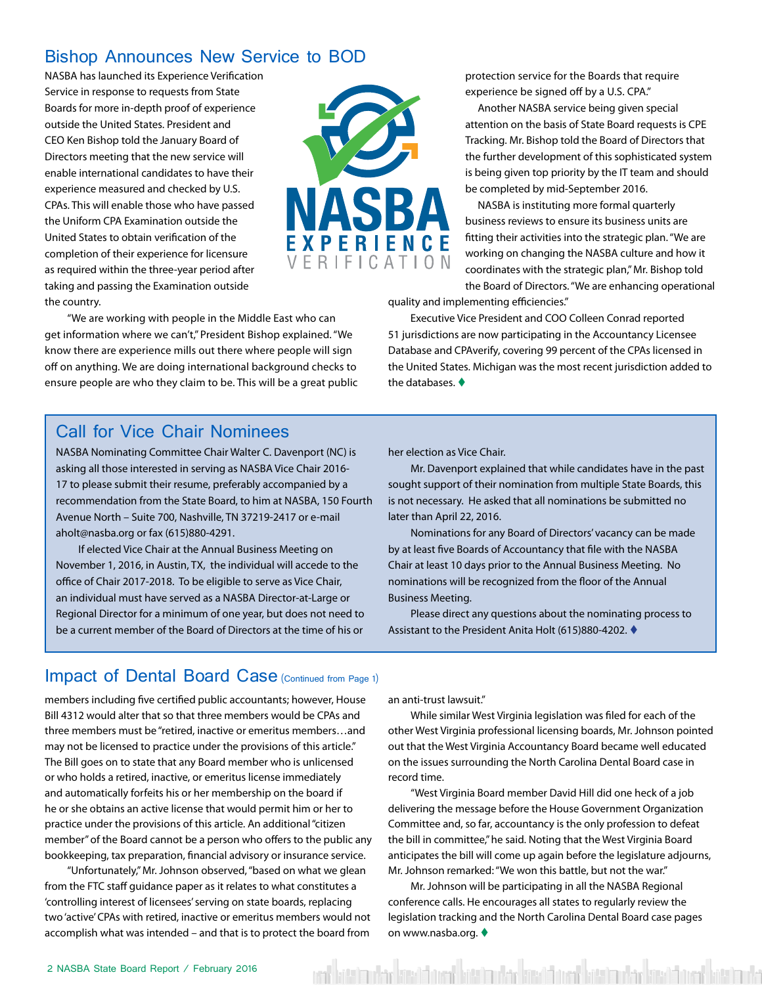### Bishop Announces New Service to BOD

NASBA has launched its Experience Verification Service in response to requests from State Boards for more in-depth proof of experience outside the United States. President and CEO Ken Bishop told the January Board of Directors meeting that the new service will enable international candidates to have their experience measured and checked by U.S. CPAs. This will enable those who have passed the Uniform CPA Examination outside the United States to obtain verification of the completion of their experience for licensure as required within the three-year period after taking and passing the Examination outside the country.



"We are working with people in the Middle East who can get information where we can't," President Bishop explained. "We know there are experience mills out there where people will sign off on anything. We are doing international background checks to ensure people are who they claim to be. This will be a great public protection service for the Boards that require experience be signed off by a U.S. CPA."

Another NASBA service being given special attention on the basis of State Board requests is CPE Tracking. Mr. Bishop told the Board of Directors that the further development of this sophisticated system is being given top priority by the IT team and should be completed by mid-September 2016.

NASBA is instituting more formal quarterly business reviews to ensure its business units are fitting their activities into the strategic plan. "We are working on changing the NASBA culture and how it coordinates with the strategic plan," Mr. Bishop told the Board of Directors. "We are enhancing operational

quality and implementing efficiencies."

Executive Vice President and COO Colleen Conrad reported 51 jurisdictions are now participating in the Accountancy Licensee Database and CPAverify, covering 99 percent of the CPAs licensed in the United States. Michigan was the most recent jurisdiction added to the databases.  $\blacklozenge$ 

#### Call for Vice Chair Nominees

NASBA Nominating Committee Chair Walter C. Davenport (NC) is asking all those interested in serving as NASBA Vice Chair 2016- 17 to please submit their resume, preferably accompanied by a recommendation from the State Board, to him at NASBA, 150 Fourth Avenue North – Suite 700, Nashville, TN 37219-2417 or e-mail aholt@nasba.org or fax (615)880-4291.

If elected Vice Chair at the Annual Business Meeting on November 1, 2016, in Austin, TX, the individual will accede to the office of Chair 2017-2018. To be eligible to serve as Vice Chair, an individual must have served as a NASBA Director-at-Large or Regional Director for a minimum of one year, but does not need to be a current member of the Board of Directors at the time of his or

her election as Vice Chair.

Mr. Davenport explained that while candidates have in the past sought support of their nomination from multiple State Boards, this is not necessary. He asked that all nominations be submitted no later than April 22, 2016.

Nominations for any Board of Directors' vacancy can be made by at least five Boards of Accountancy that file with the NASBA Chair at least 10 days prior to the Annual Business Meeting. No nominations will be recognized from the floor of the Annual Business Meeting.

Please direct any questions about the nominating process to Assistant to the President Anita Holt (615)880-4202. ♦

#### Impact of Dental Board Case (Continued from Page 1)

members including five certified public accountants; however, House Bill 4312 would alter that so that three members would be CPAs and three members must be "retired, inactive or emeritus members…and may not be licensed to practice under the provisions of this article." The Bill goes on to state that any Board member who is unlicensed or who holds a retired, inactive, or emeritus license immediately and automatically forfeits his or her membership on the board if he or she obtains an active license that would permit him or her to practice under the provisions of this article. An additional "citizen member" of the Board cannot be a person who offers to the public any bookkeeping, tax preparation, financial advisory or insurance service.

"Unfortunately," Mr. Johnson observed, "based on what we glean from the FTC staff guidance paper as it relates to what constitutes a 'controlling interest of licensees' serving on state boards, replacing two 'active' CPAs with retired, inactive or emeritus members would not accomplish what was intended – and that is to protect the board from

an anti-trust lawsuit."

While similar West Virginia legislation was filed for each of the other West Virginia professional licensing boards, Mr. Johnson pointed out that the West Virginia Accountancy Board became well educated on the issues surrounding the North Carolina Dental Board case in record time.

"West Virginia Board member David Hill did one heck of a job delivering the message before the House Government Organization Committee and, so far, accountancy is the only profession to defeat the bill in committee," he said. Noting that the West Virginia Board anticipates the bill will come up again before the legislature adjourns, Mr. Johnson remarked: "We won this battle, but not the war."

Mr. Johnson will be participating in all the NASBA Regional conference calls. He encourages all states to regularly review the legislation tracking and the North Carolina Dental Board case pages on www.nasba.org.  $\blacklozenge$ 

ita'in da kisib iyo birti nchi aisi bari birti nchi aisi nchi an bara kisib da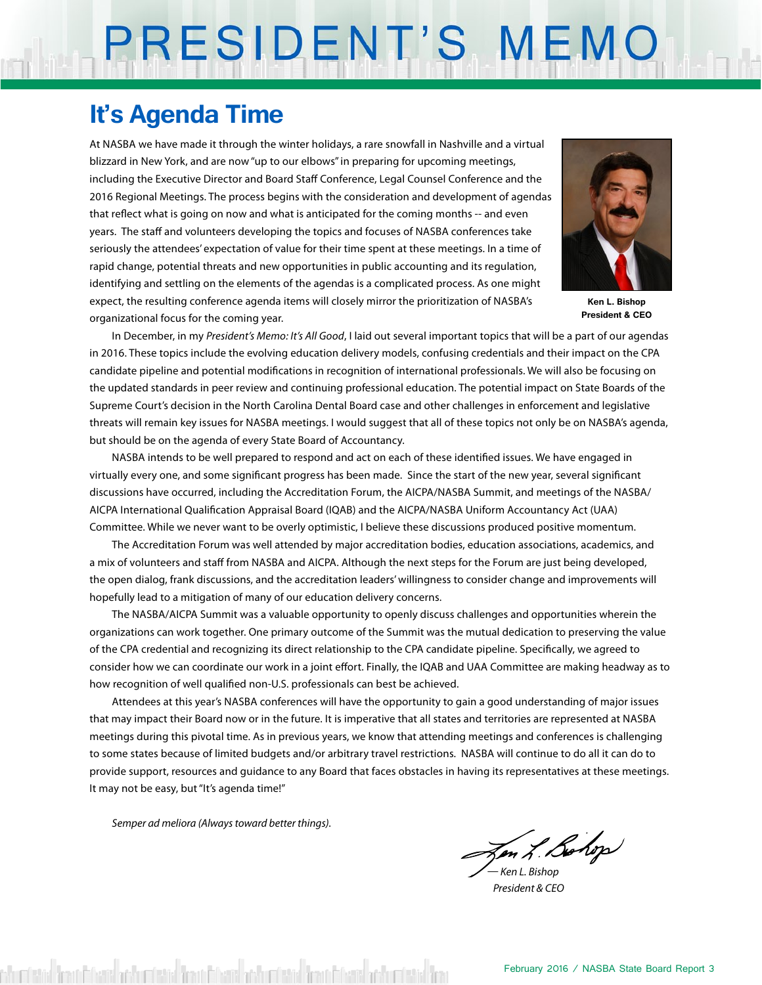# PRESIDENT'S MEMO

## **It's Agenda Time**

At NASBA we have made it through the winter holidays, a rare snowfall in Nashville and a virtual blizzard in New York, and are now "up to our elbows" in preparing for upcoming meetings, including the Executive Director and Board Staff Conference, Legal Counsel Conference and the 2016 Regional Meetings. The process begins with the consideration and development of agendas that reflect what is going on now and what is anticipated for the coming months -- and even years. The staff and volunteers developing the topics and focuses of NASBA conferences take seriously the attendees' expectation of value for their time spent at these meetings. In a time of rapid change, potential threats and new opportunities in public accounting and its regulation, identifying and settling on the elements of the agendas is a complicated process. As one might expect, the resulting conference agenda items will closely mirror the prioritization of NASBA's organizational focus for the coming year.



**Ken L. Bishop President & CEO**

In December, in my *President's Memo: It's All Good*, I laid out several important topics that will be a part of our agendas in 2016. These topics include the evolving education delivery models, confusing credentials and their impact on the CPA candidate pipeline and potential modifications in recognition of international professionals. We will also be focusing on the updated standards in peer review and continuing professional education. The potential impact on State Boards of the Supreme Court's decision in the North Carolina Dental Board case and other challenges in enforcement and legislative threats will remain key issues for NASBA meetings. I would suggest that all of these topics not only be on NASBA's agenda, but should be on the agenda of every State Board of Accountancy.

NASBA intends to be well prepared to respond and act on each of these identified issues. We have engaged in virtually every one, and some significant progress has been made. Since the start of the new year, several significant discussions have occurred, including the Accreditation Forum, the AICPA/NASBA Summit, and meetings of the NASBA/ AICPA International Qualification Appraisal Board (IQAB) and the AICPA/NASBA Uniform Accountancy Act (UAA) Committee. While we never want to be overly optimistic, I believe these discussions produced positive momentum.

The Accreditation Forum was well attended by major accreditation bodies, education associations, academics, and a mix of volunteers and staff from NASBA and AICPA. Although the next steps for the Forum are just being developed, the open dialog, frank discussions, and the accreditation leaders' willingness to consider change and improvements will hopefully lead to a mitigation of many of our education delivery concerns.

The NASBA/AICPA Summit was a valuable opportunity to openly discuss challenges and opportunities wherein the organizations can work together. One primary outcome of the Summit was the mutual dedication to preserving the value of the CPA credential and recognizing its direct relationship to the CPA candidate pipeline. Specifically, we agreed to consider how we can coordinate our work in a joint effort. Finally, the IQAB and UAA Committee are making headway as to how recognition of well qualified non-U.S. professionals can best be achieved.

Attendees at this year's NASBA conferences will have the opportunity to gain a good understanding of major issues that may impact their Board now or in the future. It is imperative that all states and territories are represented at NASBA meetings during this pivotal time. As in previous years, we know that attending meetings and conferences is challenging to some states because of limited budgets and/or arbitrary travel restrictions. NASBA will continue to do all it can do to provide support, resources and guidance to any Board that faces obstacles in having its representatives at these meetings. It may not be easy, but "It's agenda time!"

*Semper ad meliora (Always toward better things).*

Jen L. Bohop

*— Ken L. Bishop President & CEO*

district Theodoff Charist and to the Charist Charist Charist Charist Charist Theodore Charist Theodore